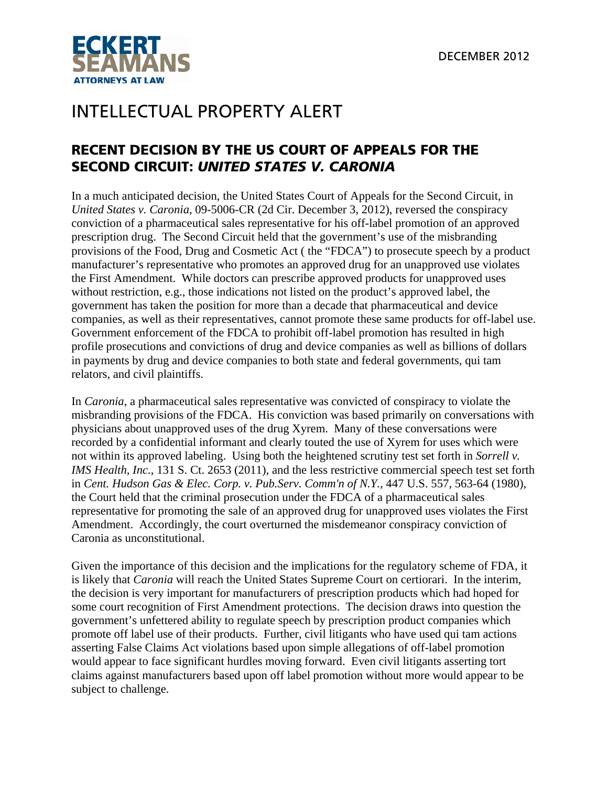

## INTELLECTUAL PROPERTY ALERT

## RECENT DECISION BY THE US COURT OF APPEALS FOR THE SECOND CIRCUIT: *UNITED STATES V. CARONIA*

In a much anticipated decision, the United States Court of Appeals for the Second Circuit, in *United States v. Caronia*, 09-5006-CR (2d Cir. December 3, 2012), reversed the conspiracy conviction of a pharmaceutical sales representative for his off-label promotion of an approved prescription drug. The Second Circuit held that the government's use of the misbranding provisions of the Food, Drug and Cosmetic Act ( the "FDCA") to prosecute speech by a product manufacturer's representative who promotes an approved drug for an unapproved use violates the First Amendment. While doctors can prescribe approved products for unapproved uses without restriction, e.g., those indications not listed on the product's approved label, the government has taken the position for more than a decade that pharmaceutical and device companies, as well as their representatives, cannot promote these same products for off-label use. Government enforcement of the FDCA to prohibit off-label promotion has resulted in high profile prosecutions and convictions of drug and device companies as well as billions of dollars in payments by drug and device companies to both state and federal governments, qui tam relators, and civil plaintiffs.

In *Caronia*, a pharmaceutical sales representative was convicted of conspiracy to violate the misbranding provisions of the FDCA. His conviction was based primarily on conversations with physicians about unapproved uses of the drug Xyrem. Many of these conversations were recorded by a confidential informant and clearly touted the use of Xyrem for uses which were not within its approved labeling. Using both the heightened scrutiny test set forth in *Sorrell v. IMS Health, Inc.*, 131 S. Ct. 2653 (2011), and the less restrictive commercial speech test set forth in *Cent. Hudson Gas & Elec. Corp. v. Pub.Serv. Comm'n of N.Y.,* 447 U.S. 557, 563-64 (1980), the Court held that the criminal prosecution under the FDCA of a pharmaceutical sales representative for promoting the sale of an approved drug for unapproved uses violates the First Amendment. Accordingly, the court overturned the misdemeanor conspiracy conviction of Caronia as unconstitutional.

Given the importance of this decision and the implications for the regulatory scheme of FDA, it is likely that *Caronia* will reach the United States Supreme Court on certiorari. In the interim, the decision is very important for manufacturers of prescription products which had hoped for some court recognition of First Amendment protections. The decision draws into question the government's unfettered ability to regulate speech by prescription product companies which promote off label use of their products. Further, civil litigants who have used qui tam actions asserting False Claims Act violations based upon simple allegations of off-label promotion would appear to face significant hurdles moving forward. Even civil litigants asserting tort claims against manufacturers based upon off label promotion without more would appear to be subject to challenge.